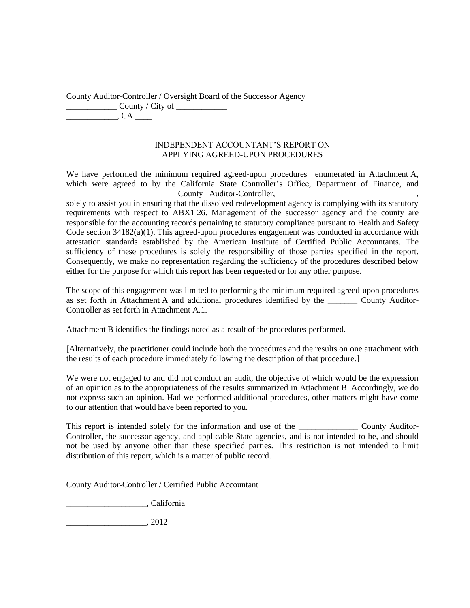County Auditor-Controller / Oversight Board of the Successor Agency County / City of  $\overline{\phantom{a}}$   $\overline{\phantom{a}}$   $\overline{\phantom{a}}$   $\overline{\phantom{a}}$   $\overline{\phantom{a}}$   $\overline{\phantom{a}}$   $\overline{\phantom{a}}$   $\overline{\phantom{a}}$   $\overline{\phantom{a}}$   $\overline{\phantom{a}}$   $\overline{\phantom{a}}$   $\overline{\phantom{a}}$   $\overline{\phantom{a}}$   $\overline{\phantom{a}}$   $\overline{\phantom{a}}$   $\overline{\phantom{a}}$   $\overline{\phantom{a}}$   $\overline{\phantom{a}}$   $\overline{\$ 

#### INDEPENDENT ACCOUNTANT'S REPORT ON APPLYING AGREED-UPON PROCEDURES

We have performed the minimum required agreed-upon procedures enumerated in Attachment A, which were agreed to by the California State Controller's Office, Department of Finance, and County Auditor-Controller,

solely to assist you in ensuring that the dissolved redevelopment agency is complying with its statutory requirements with respect to ABX1 26. Management of the successor agency and the county are responsible for the accounting records pertaining to statutory compliance pursuant to Health and Safety Code section 34182(a)(1). This agreed-upon procedures engagement was conducted in accordance with attestation standards established by the American Institute of Certified Public Accountants. The sufficiency of these procedures is solely the responsibility of those parties specified in the report. Consequently, we make no representation regarding the sufficiency of the procedures described below either for the purpose for which this report has been requested or for any other purpose.

The scope of this engagement was limited to performing the minimum required agreed-upon procedures as set forth in Attachment A and additional procedures identified by the \_\_\_\_\_\_\_ County Auditor-Controller as set forth in Attachment A.1.

Attachment B identifies the findings noted as a result of the procedures performed.

[Alternatively, the practitioner could include both the procedures and the results on one attachment with the results of each procedure immediately following the description of that procedure.]

We were not engaged to and did not conduct an audit, the objective of which would be the expression of an opinion as to the appropriateness of the results summarized in Attachment B. Accordingly, we do not express such an opinion. Had we performed additional procedures, other matters might have come to our attention that would have been reported to you.

This report is intended solely for the information and use of the \_\_\_\_\_\_\_\_\_\_\_\_\_\_\_\_\_\_\_ County Auditor-Controller, the successor agency, and applicable State agencies, and is not intended to be, and should not be used by anyone other than these specified parties. This restriction is not intended to limit distribution of this report, which is a matter of public record.

County Auditor-Controller / Certified Public Accountant

\_\_\_\_\_\_\_\_\_\_\_\_\_\_\_\_\_\_\_, California

\_\_\_\_\_\_\_\_\_\_\_\_\_\_\_\_\_\_\_, 2012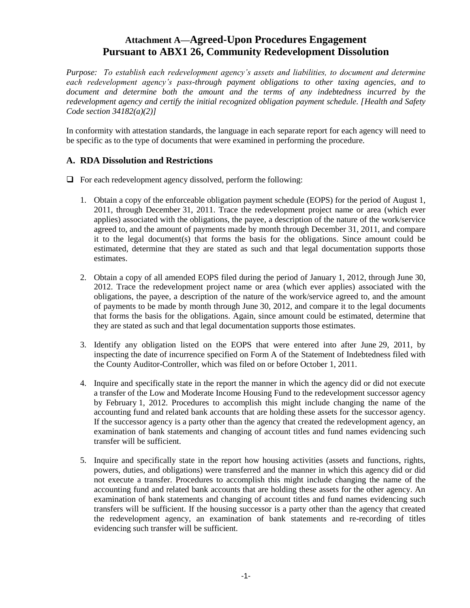# **Attachment A—Agreed-Upon Procedures Engagement Pursuant to ABX1 26, Community Redevelopment Dissolution**

*Purpose: To establish each redevelopment agency's assets and liabilities, to document and determine each redevelopment agency's pass-through payment obligations to other taxing agencies, and to document and determine both the amount and the terms of any indebtedness incurred by the redevelopment agency and certify the initial recognized obligation payment schedule. [Health and Safety Code section 34182(a)(2)]*

In conformity with attestation standards, the language in each separate report for each agency will need to be specific as to the type of documents that were examined in performing the procedure.

## **A. RDA Dissolution and Restrictions**

 $\Box$  For each redevelopment agency dissolved, perform the following:

- 1. Obtain a copy of the enforceable obligation payment schedule (EOPS) for the period of August 1, 2011, through December 31, 2011. Trace the redevelopment project name or area (which ever applies) associated with the obligations, the payee, a description of the nature of the work/service agreed to, and the amount of payments made by month through December 31, 2011, and compare it to the legal document(s) that forms the basis for the obligations. Since amount could be estimated, determine that they are stated as such and that legal documentation supports those estimates.
- 2. Obtain a copy of all amended EOPS filed during the period of January 1, 2012, through June 30, 2012. Trace the redevelopment project name or area (which ever applies) associated with the obligations, the payee, a description of the nature of the work/service agreed to, and the amount of payments to be made by month through June 30, 2012, and compare it to the legal documents that forms the basis for the obligations. Again, since amount could be estimated, determine that they are stated as such and that legal documentation supports those estimates.
- 3. Identify any obligation listed on the EOPS that were entered into after June 29, 2011, by inspecting the date of incurrence specified on Form A of the Statement of Indebtedness filed with the County Auditor-Controller, which was filed on or before October 1, 2011.
- 4. Inquire and specifically state in the report the manner in which the agency did or did not execute a transfer of the Low and Moderate Income Housing Fund to the redevelopment successor agency by February 1, 2012. Procedures to accomplish this might include changing the name of the accounting fund and related bank accounts that are holding these assets for the successor agency. If the successor agency is a party other than the agency that created the redevelopment agency, an examination of bank statements and changing of account titles and fund names evidencing such transfer will be sufficient.
- 5. Inquire and specifically state in the report how housing activities (assets and functions, rights, powers, duties, and obligations) were transferred and the manner in which this agency did or did not execute a transfer. Procedures to accomplish this might include changing the name of the accounting fund and related bank accounts that are holding these assets for the other agency. An examination of bank statements and changing of account titles and fund names evidencing such transfers will be sufficient. If the housing successor is a party other than the agency that created the redevelopment agency, an examination of bank statements and re-recording of titles evidencing such transfer will be sufficient.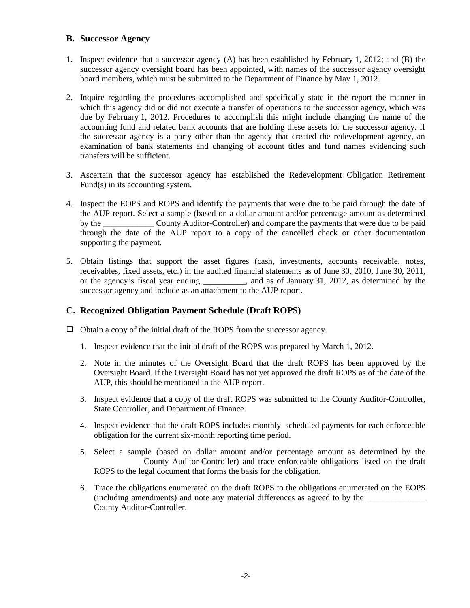#### **B. Successor Agency**

- 1. Inspect evidence that a successor agency (A) has been established by February 1, 2012; and (B) the successor agency oversight board has been appointed, with names of the successor agency oversight board members, which must be submitted to the Department of Finance by May 1, 2012.
- 2. Inquire regarding the procedures accomplished and specifically state in the report the manner in which this agency did or did not execute a transfer of operations to the successor agency, which was due by February 1, 2012. Procedures to accomplish this might include changing the name of the accounting fund and related bank accounts that are holding these assets for the successor agency. If the successor agency is a party other than the agency that created the redevelopment agency, an examination of bank statements and changing of account titles and fund names evidencing such transfers will be sufficient.
- 3. Ascertain that the successor agency has established the Redevelopment Obligation Retirement Fund(s) in its accounting system.
- 4. Inspect the EOPS and ROPS and identify the payments that were due to be paid through the date of the AUP report. Select a sample (based on a dollar amount and/or percentage amount as determined by the County Auditor-Controller) and compare the payments that were due to be paid through the date of the AUP report to a copy of the cancelled check or other documentation supporting the payment.
- 5. Obtain listings that support the asset figures (cash, investments, accounts receivable, notes, receivables, fixed assets, etc.) in the audited financial statements as of June 30, 2010, June 30, 2011, or the agency's fiscal year ending \_\_\_\_\_\_\_\_\_\_, and as of January 31, 2012, as determined by the successor agency and include as an attachment to the AUP report.

### **C. Recognized Obligation Payment Schedule (Draft ROPS)**

- $\Box$  Obtain a copy of the initial draft of the ROPS from the successor agency.
	- 1. Inspect evidence that the initial draft of the ROPS was prepared by March 1, 2012.
	- 2. Note in the minutes of the Oversight Board that the draft ROPS has been approved by the Oversight Board. If the Oversight Board has not yet approved the draft ROPS as of the date of the AUP, this should be mentioned in the AUP report.
	- 3. Inspect evidence that a copy of the draft ROPS was submitted to the County Auditor-Controller, State Controller, and Department of Finance.
	- 4. Inspect evidence that the draft ROPS includes monthly scheduled payments for each enforceable obligation for the current six-month reporting time period.
	- 5. Select a sample (based on dollar amount and/or percentage amount as determined by the \_\_\_\_\_\_\_\_\_\_\_ County Auditor-Controller) and trace enforceable obligations listed on the draft ROPS to the legal document that forms the basis for the obligation.
	- 6. Trace the obligations enumerated on the draft ROPS to the obligations enumerated on the EOPS (including amendments) and note any material differences as agreed to by the  $\Box$ County Auditor-Controller.